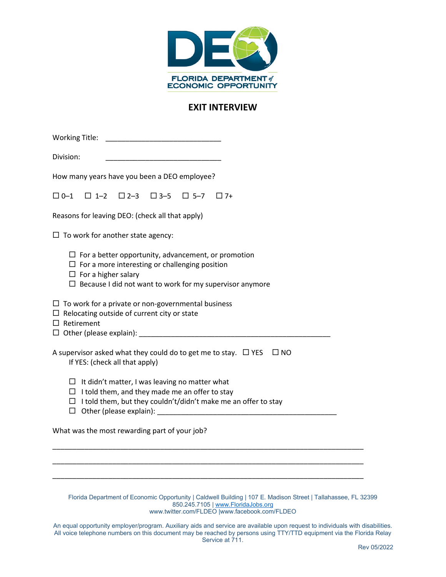

## **EXIT INTERVIEW**

| Division:                                                                                                                                                                                                                                              |
|--------------------------------------------------------------------------------------------------------------------------------------------------------------------------------------------------------------------------------------------------------|
| How many years have you been a DEO employee?                                                                                                                                                                                                           |
| $\square$ 2-3 $\square$ 3-5<br>$\Box$ 0-1<br>$\Box$ 1-2<br>$\Box$ 5-7<br>$\Box$ 7+                                                                                                                                                                     |
| Reasons for leaving DEO: (check all that apply)                                                                                                                                                                                                        |
| $\Box$ To work for another state agency:                                                                                                                                                                                                               |
| $\Box$ For a better opportunity, advancement, or promotion<br>$\Box$ For a more interesting or challenging position<br>$\Box$ For a higher salary<br>$\Box$ Because I did not want to work for my supervisor anymore                                   |
| $\Box$ To work for a private or non-governmental business<br>$\Box$ Relocating outside of current city or state<br>$\Box$ Retirement                                                                                                                   |
| A supervisor asked what they could do to get me to stay. $\Box$ YES<br>$\square$ NO<br>If YES: (check all that apply)                                                                                                                                  |
| $\Box$ It didn't matter, I was leaving no matter what                                                                                                                                                                                                  |
| $\Box$ I told them, and they made me an offer to stay<br>$\Box$ I told them, but they couldn't/didn't make me an offer to stay                                                                                                                         |
|                                                                                                                                                                                                                                                        |
| What was the most rewarding part of your job?                                                                                                                                                                                                          |
|                                                                                                                                                                                                                                                        |
|                                                                                                                                                                                                                                                        |
| Florida Department of Economic Opportunity   Caldwell Building   107 E. Madison Street   Tallahassee, FL 32399<br>850.245.7105   www.FloridaJobs.org<br>www.twitter.com/FLDEO  www.facebook.com/FLDEO                                                  |
| An equal opportunity employer/program. Auxiliary aids and service are available upon request to individuals with disabilities.<br>All voice telephone numbers on this document may be reached by persons using TTY/TTD equipment via the Florida Relay |

Service at 711.